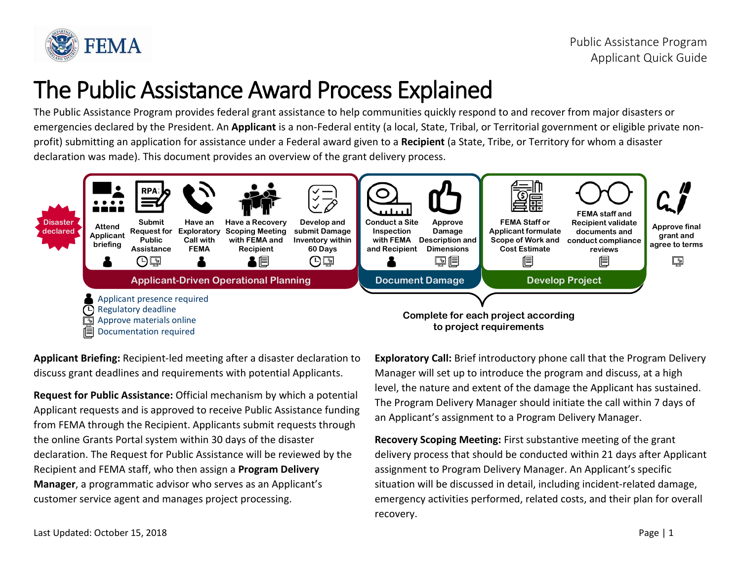

## The Public Assistance Award Process Explained

The Public Assistance Program provides federal grant assistance to help communities quickly respond to and recover from major disasters or emergencies declared by the President. An **Applicant** is a non-Federal entity (a local, State, Tribal, or Territorial government or eligible private nonprofit) submitting an application for assistance under a Federal award given to a **Recipient** (a State, Tribe, or Territory for whom a disaster declaration was made). This document provides an overview of the grant delivery process.



**Applicant Briefing:** Recipient-led meeting after a disaster declaration to discuss grant deadlines and requirements with potential Applicants.

**Request for Public Assistance:** Official mechanism by which a potential Applicant requests and is approved to receive Public Assistance funding from FEMA through the Recipient. Applicants submit requests through the online Grants Portal system within 30 days of the disaster declaration. The Request for Public Assistance will be reviewed by the Recipient and FEMA staff, who then assign a **Program Delivery Manager**, a programmatic advisor who serves as an Applicant's customer service agent and manages project processing.

**Exploratory Call:** Brief introductory phone call that the Program Delivery Manager will set up to introduce the program and discuss, at a high level, the nature and extent of the damage the Applicant has sustained. The Program Delivery Manager should initiate the call within 7 days of an Applicant's assignment to a Program Delivery Manager.

**Recovery Scoping Meeting:** First substantive meeting of the grant delivery process that should be conducted within 21 days after Applicant assignment to Program Delivery Manager. An Applicant's specific situation will be discussed in detail, including incident-related damage, emergency activities performed, related costs, and their plan for overall recovery.